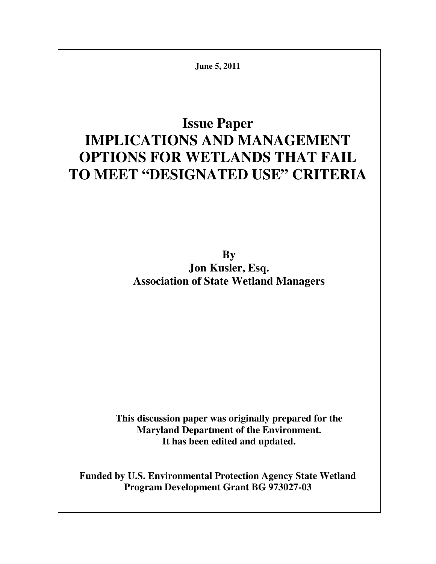**June 5, 2011** 

# **Issue Paper IMPLICATIONS AND MANAGEMENT OPTIONS FOR WETLANDS THAT FAIL TO MEET "DESIGNATED USE" CRITERIA**

**By Jon Kusler, Esq. Association of State Wetland Managers** 

**This discussion paper was originally prepared for the Maryland Department of the Environment. It has been edited and updated.** 

**Funded by U.S. Environmental Protection Agency State Wetland Program Development Grant BG 973027-03**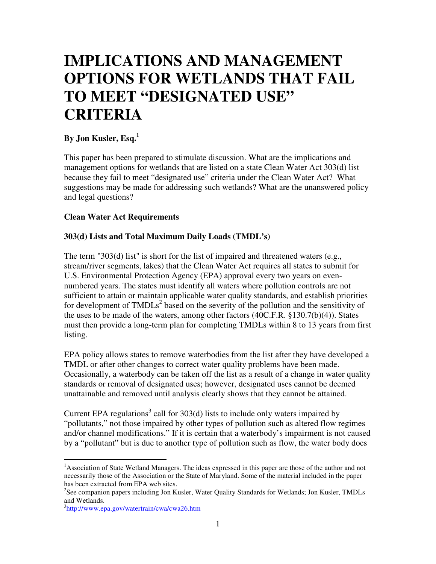# **IMPLICATIONS AND MANAGEMENT OPTIONS FOR WETLANDS THAT FAIL TO MEET "DESIGNATED USE" CRITERIA**

# **By Jon Kusler, Esq.<sup>1</sup>**

This paper has been prepared to stimulate discussion. What are the implications and management options for wetlands that are listed on a state Clean Water Act 303(d) list because they fail to meet "designated use" criteria under the Clean Water Act? What suggestions may be made for addressing such wetlands? What are the unanswered policy and legal questions?

#### **Clean Water Act Requirements**

#### **303(d) Lists and Total Maximum Daily Loads (TMDL's)**

The term "303(d) list" is short for the list of impaired and threatened waters (e.g., stream/river segments, lakes) that the Clean Water Act requires all states to submit for U.S. Environmental Protection Agency (EPA) approval every two years on evennumbered years. The states must identify all waters where pollution controls are not sufficient to attain or maintain applicable water quality standards, and establish priorities for development of  $TMDLs<sup>2</sup>$  based on the severity of the pollution and the sensitivity of the uses to be made of the waters, among other factors (40C.F.R. §130.7(b)(4)). States must then provide a long-term plan for completing TMDLs within 8 to 13 years from first listing.

EPA policy allows states to remove waterbodies from the list after they have developed a TMDL or after other changes to correct water quality problems have been made. Occasionally, a waterbody can be taken off the list as a result of a change in water quality standards or removal of designated uses; however, designated uses cannot be deemed unattainable and removed until analysis clearly shows that they cannot be attained.

Current EPA regulations<sup>3</sup> call for  $303(d)$  lists to include only waters impaired by "pollutants," not those impaired by other types of pollution such as altered flow regimes and/or channel modifications." If it is certain that a waterbody's impairment is not caused by a "pollutant" but is due to another type of pollution such as flow, the water body does

 $\overline{a}$ <sup>1</sup>Association of State Wetland Managers. The ideas expressed in this paper are those of the author and not necessarily those of the Association or the State of Maryland. Some of the material included in the paper has been extracted from EPA web sites.

<sup>&</sup>lt;sup>2</sup>See companion papers including Jon Kusler, Water Quality Standards for Wetlands; Jon Kusler, TMDLs and Wetlands.

<sup>&</sup>lt;sup>3</sup>http://www.epa.gov/watertrain/cwa/cwa26.htm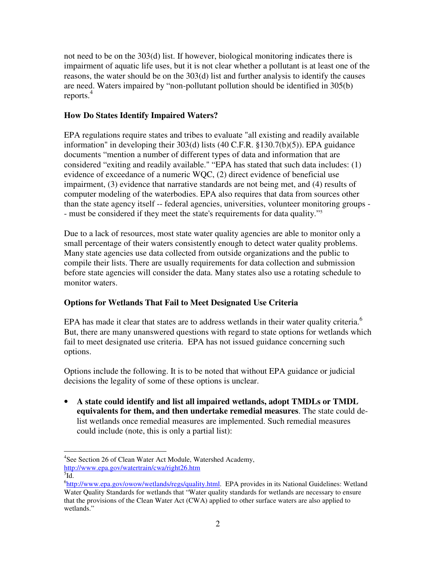not need to be on the 303(d) list. If however, biological monitoring indicates there is impairment of aquatic life uses, but it is not clear whether a pollutant is at least one of the reasons, the water should be on the 303(d) list and further analysis to identify the causes are need. Waters impaired by "non-pollutant pollution should be identified in 305(b) reports.<sup>4</sup>

## **How Do States Identify Impaired Waters?**

EPA regulations require states and tribes to evaluate "all existing and readily available information" in developing their 303(d) lists (40 C.F.R. §130.7(b)(5)). EPA guidance documents "mention a number of different types of data and information that are considered "exiting and readily available." "EPA has stated that such data includes: (1) evidence of exceedance of a numeric WQC, (2) direct evidence of beneficial use impairment, (3) evidence that narrative standards are not being met, and (4) results of computer modeling of the waterbodies. EPA also requires that data from sources other than the state agency itself -- federal agencies, universities, volunteer monitoring groups - - must be considered if they meet the state's requirements for data quality."<sup>5</sup>

Due to a lack of resources, most state water quality agencies are able to monitor only a small percentage of their waters consistently enough to detect water quality problems. Many state agencies use data collected from outside organizations and the public to compile their lists. There are usually requirements for data collection and submission before state agencies will consider the data. Many states also use a rotating schedule to monitor waters.

## **Options for Wetlands That Fail to Meet Designated Use Criteria**

EPA has made it clear that states are to address wetlands in their water quality criteria.<sup>6</sup> But, there are many unanswered questions with regard to state options for wetlands which fail to meet designated use criteria. EPA has not issued guidance concerning such options.

Options include the following. It is to be noted that without EPA guidance or judicial decisions the legality of some of these options is unclear.

• **A state could identify and list all impaired wetlands, adopt TMDLs or TMDL equivalents for them, and then undertake remedial measures**. The state could delist wetlands once remedial measures are implemented. Such remedial measures could include (note, this is only a partial list):

l <sup>4</sup>See Section 26 of Clean Water Act Module, Watershed Academy, <http://www.epa.gov/watertrain/cwa/right26.htm>

 $^{5}$ Id.

<sup>&</sup>lt;sup>6</sup>[http://www.epa.gov/owow/wetlands/regs/quality.html.](http://www.epa.gov/owow/wetlands/regs/quality.html) EPA provides in its National Guidelines: Wetland Water Quality Standards for wetlands that "Water quality standards for wetlands are necessary to ensure that the provisions of the Clean Water Act (CWA) applied to other surface waters are also applied to wetlands."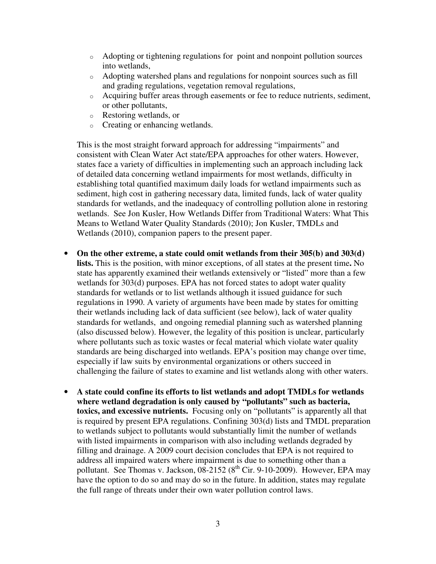- o Adopting or tightening regulations for point and nonpoint pollution sources into wetlands,
- o Adopting watershed plans and regulations for nonpoint sources such as fill and grading regulations, vegetation removal regulations,
- o Acquiring buffer areas through easements or fee to reduce nutrients, sediment, or other pollutants,
- o Restoring wetlands, or
- o Creating or enhancing wetlands.

This is the most straight forward approach for addressing "impairments" and consistent with Clean Water Act state/EPA approaches for other waters. However, states face a variety of difficulties in implementing such an approach including lack of detailed data concerning wetland impairments for most wetlands, difficulty in establishing total quantified maximum daily loads for wetland impairments such as sediment, high cost in gathering necessary data, limited funds, lack of water quality standards for wetlands, and the inadequacy of controlling pollution alone in restoring wetlands. See Jon Kusler, How Wetlands Differ from Traditional Waters: What This Means to Wetland Water Quality Standards (2010); Jon Kusler, TMDLs and Wetlands (2010), companion papers to the present paper.

- **On the other extreme, a state could omit wetlands from their 305(b) and 303(d) lists.** This is the position, with minor exceptions, of all states at the present time**.** No state has apparently examined their wetlands extensively or "listed" more than a few wetlands for 303(d) purposes. EPA has not forced states to adopt water quality standards for wetlands or to list wetlands although it issued guidance for such regulations in 1990. A variety of arguments have been made by states for omitting their wetlands including lack of data sufficient (see below), lack of water quality standards for wetlands, and ongoing remedial planning such as watershed planning (also discussed below). However, the legality of this position is unclear, particularly where pollutants such as toxic wastes or fecal material which violate water quality standards are being discharged into wetlands. EPA's position may change over time, especially if law suits by environmental organizations or others succeed in challenging the failure of states to examine and list wetlands along with other waters.
- **A state could confine its efforts to list wetlands and adopt TMDLs for wetlands where wetland degradation is only caused by "pollutants" such as bacteria, toxics, and excessive nutrients.** Focusing only on "pollutants" is apparently all that is required by present EPA regulations. Confining 303(d) lists and TMDL preparation to wetlands subject to pollutants would substantially limit the number of wetlands with listed impairments in comparison with also including wetlands degraded by filling and drainage. A 2009 court decision concludes that EPA is not required to address all impaired waters where impairment is due to something other than a pollutant. See Thomas v. Jackson,  $08-2152$  ( $8<sup>th</sup>$  Cir. 9-10-2009). However, EPA may have the option to do so and may do so in the future. In addition, states may regulate the full range of threats under their own water pollution control laws.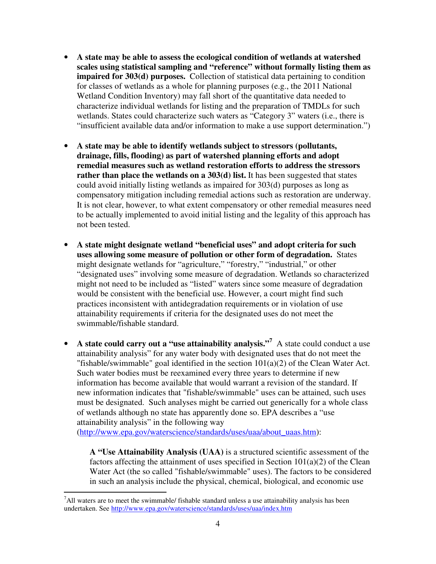- **A state may be able to assess the ecological condition of wetlands at watershed scales using statistical sampling and "reference" without formally listing them as impaired for 303(d) purposes.** Collection of statistical data pertaining to condition for classes of wetlands as a whole for planning purposes (e.g., the 2011 National Wetland Condition Inventory) may fall short of the quantitative data needed to characterize individual wetlands for listing and the preparation of TMDLs for such wetlands. States could characterize such waters as "Category 3" waters (i.e., there is "insufficient available data and/or information to make a use support determination.")
- **A state may be able to identify wetlands subject to stressors (pollutants, drainage, fills, flooding) as part of watershed planning efforts and adopt remedial measures such as wetland restoration efforts to address the stressors rather than place the wetlands on a 303(d) list.** It has been suggested that states could avoid initially listing wetlands as impaired for 303(d) purposes as long as compensatory mitigation including remedial actions such as restoration are underway. It is not clear, however, to what extent compensatory or other remedial measures need to be actually implemented to avoid initial listing and the legality of this approach has not been tested.
- **A state might designate wetland "beneficial uses" and adopt criteria for such uses allowing some measure of pollution or other form of degradation.** States might designate wetlands for "agriculture," "forestry," "industrial," or other "designated uses" involving some measure of degradation. Wetlands so characterized might not need to be included as "listed" waters since some measure of degradation would be consistent with the beneficial use. However, a court might find such practices inconsistent with antidegradation requirements or in violation of use attainability requirements if criteria for the designated uses do not meet the swimmable/fishable standard.
- A state could carry out a "use attainability analysis."<sup>7</sup> A state could conduct a use attainability analysis" for any water body with designated uses that do not meet the "fishable/swimmable" goal identified in the section  $101(a)(2)$  of the Clean Water Act. Such water bodies must be reexamined every three years to determine if new information has become available that would warrant a revision of the standard. If new information indicates that "fishable/swimmable" uses can be attained, such uses must be designated. Such analyses might be carried out generically for a whole class of wetlands although no state has apparently done so. EPA describes a "use attainability analysis" in the following way

(http://www.epa.gov/waterscience/standards/uses/uaa/about\_uaas.htm):

**A "Use Attainability Analysis (UAA)** is a structured scientific assessment of the factors affecting the attainment of uses specified in Section  $101(a)(2)$  of the Clean Water Act (the so called "fishable/swimmable" uses). The factors to be considered in such an analysis include the physical, chemical, biological, and economic use

 $\overline{a}$ 

 $<sup>7</sup>$ All waters are to meet the swimmable/ fishable standard unless a use attainability analysis has been</sup> undertaken. See<http://www.epa.gov/waterscience/standards/uses/uaa/index.htm>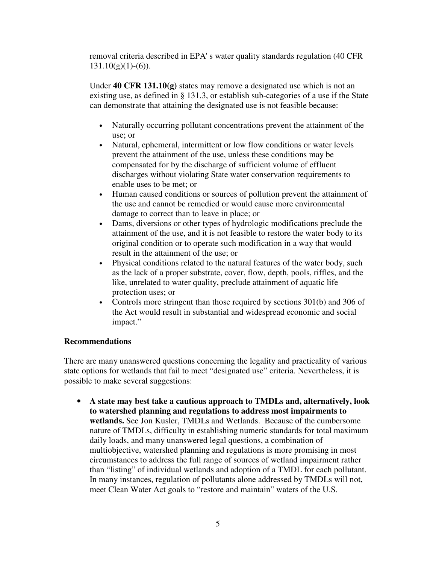removal criteria described in EPA' s water quality standards regulation (40 CFR  $131.10(g)(1)-(6)$ ).

Under **40 CFR 131.10(g)** states may remove a designated use which is not an existing use, as defined in § 131.3, or establish sub-categories of a use if the State can demonstrate that attaining the designated use is not feasible because:

- Naturally occurring pollutant concentrations prevent the attainment of the use; or
- Natural, ephemeral, intermittent or low flow conditions or water levels prevent the attainment of the use, unless these conditions may be compensated for by the discharge of sufficient volume of effluent discharges without violating State water conservation requirements to enable uses to be met; or
- Human caused conditions or sources of pollution prevent the attainment of the use and cannot be remedied or would cause more environmental damage to correct than to leave in place; or
- Dams, diversions or other types of hydrologic modifications preclude the attainment of the use, and it is not feasible to restore the water body to its original condition or to operate such modification in a way that would result in the attainment of the use; or
- Physical conditions related to the natural features of the water body, such as the lack of a proper substrate, cover, flow, depth, pools, riffles, and the like, unrelated to water quality, preclude attainment of aquatic life protection uses; or
- Controls more stringent than those required by sections 301(b) and 306 of the Act would result in substantial and widespread economic and social impact."

#### **Recommendations**

There are many unanswered questions concerning the legality and practicality of various state options for wetlands that fail to meet "designated use" criteria. Nevertheless, it is possible to make several suggestions:

• **A state may best take a cautious approach to TMDLs and, alternatively, look to watershed planning and regulations to address most impairments to wetlands.** See Jon Kusler, TMDLs and Wetlands. Because of the cumbersome nature of TMDLs, difficulty in establishing numeric standards for total maximum daily loads, and many unanswered legal questions, a combination of multiobjective, watershed planning and regulations is more promising in most circumstances to address the full range of sources of wetland impairment rather than "listing" of individual wetlands and adoption of a TMDL for each pollutant. In many instances, regulation of pollutants alone addressed by TMDLs will not, meet Clean Water Act goals to "restore and maintain" waters of the U.S.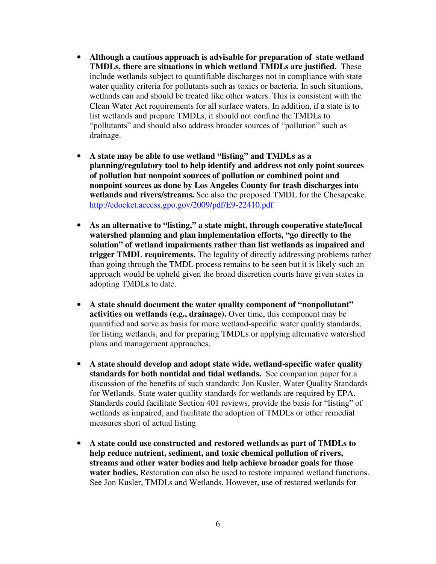- **Although a cautious approach is advisable for preparation of state wetland TMDLs, there are situations in which wetland TMDLs are justified.** These include wetlands subject to quantifiable discharges not in compliance with state water quality criteria for pollutants such as toxics or bacteria. In such situations, wetlands can and should be treated like other waters. This is consistent with the Clean Water Act requirements for all surface waters. In addition, if a state is to list wetlands and prepare TMDLs, it should not confine the TMDLs to "pollutants" and should also address broader sources of "pollution" such as drainage.
- **A state may be able to use wetland "listing" and TMDLs as a planning/regulatory tool to help identify and address not only point sources of pollution but nonpoint sources of pollution or combined point and nonpoint sources as done by Los Angeles County for trash discharges into wetlands and rivers/streams.** See also the proposed TMDL for the Chesapeake. <http://edocket.access.gpo.gov/2009/pdf/E9-22410.pdf>
- **As an alternative to "listing," a state might, through cooperative state/local watershed planning and plan implementation efforts, "go directly to the solution" of wetland impairments rather than list wetlands as impaired and trigger TMDL requirements.** The legality of directly addressing problems rather than going through the TMDL process remains to be seen but it is likely such an approach would be upheld given the broad discretion courts have given states in adopting TMDLs to date.
- **A state should document the water quality component of "nonpollutant" activities on wetlands (e.g., drainage).** Over time, this component may be quantified and serve as basis for more wetland-specific water quality standards, for listing wetlands, and for preparing TMDLs or applying alternative watershed plans and management approaches.
- **A state should develop and adopt state wide, wetland-specific water quality standards for both nontidal and tidal wetlands.** See companion paper for a discussion of the benefits of such standards: Jon Kusler, Water Quality Standards for Wetlands. State water quality standards for wetlands are required by EPA. Standards could facilitate Section 401 reviews, provide the basis for "listing" of wetlands as impaired, and facilitate the adoption of TMDLs or other remedial measures short of actual listing.
- **A state could use constructed and restored wetlands as part of TMDLs to help reduce nutrient, sediment, and toxic chemical pollution of rivers, streams and other water bodies and help achieve broader goals for those water bodies.** Restoration can also be used to restore impaired wetland functions. See Jon Kusler, TMDLs and Wetlands. However, use of restored wetlands for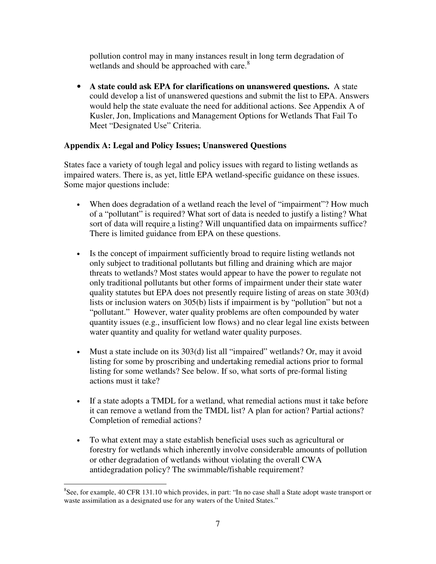pollution control may in many instances result in long term degradation of wetlands and should be approached with care.<sup>8</sup>

• **A state could ask EPA for clarifications on unanswered questions.** A state could develop a list of unanswered questions and submit the list to EPA. Answers would help the state evaluate the need for additional actions. See Appendix A of Kusler, Jon, Implications and Management Options for Wetlands That Fail To Meet "Designated Use" Criteria.

## **Appendix A: Legal and Policy Issues; Unanswered Questions**

States face a variety of tough legal and policy issues with regard to listing wetlands as impaired waters. There is, as yet, little EPA wetland-specific guidance on these issues. Some major questions include:

- When does degradation of a wetland reach the level of "impairment"? How much of a "pollutant" is required? What sort of data is needed to justify a listing? What sort of data will require a listing? Will unquantified data on impairments suffice? There is limited guidance from EPA on these questions.
- Is the concept of impairment sufficiently broad to require listing wetlands not only subject to traditional pollutants but filling and draining which are major threats to wetlands? Most states would appear to have the power to regulate not only traditional pollutants but other forms of impairment under their state water quality statutes but EPA does not presently require listing of areas on state 303(d) lists or inclusion waters on 305(b) lists if impairment is by "pollution" but not a "pollutant." However, water quality problems are often compounded by water quantity issues (e.g., insufficient low flows) and no clear legal line exists between water quantity and quality for wetland water quality purposes.
- Must a state include on its 303(d) list all "impaired" wetlands? Or, may it avoid listing for some by proscribing and undertaking remedial actions prior to formal listing for some wetlands? See below. If so, what sorts of pre-formal listing actions must it take?
- If a state adopts a TMDL for a wetland, what remedial actions must it take before it can remove a wetland from the TMDL list? A plan for action? Partial actions? Completion of remedial actions?
- To what extent may a state establish beneficial uses such as agricultural or forestry for wetlands which inherently involve considerable amounts of pollution or other degradation of wetlands without violating the overall CWA antidegradation policy? The swimmable/fishable requirement?

 $\overline{a}$ 

<sup>&</sup>lt;sup>8</sup>See, for example, 40 CFR 131.10 which provides, in part: "In no case shall a State adopt waste transport or waste assimilation as a designated use for any waters of the United States."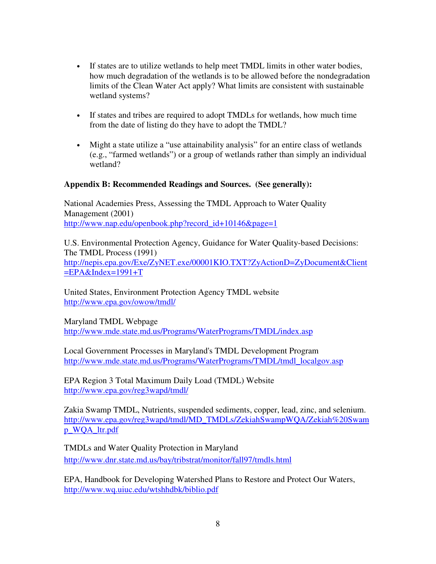- If states are to utilize wetlands to help meet TMDL limits in other water bodies, how much degradation of the wetlands is to be allowed before the nondegradation limits of the Clean Water Act apply? What limits are consistent with sustainable wetland systems?
- If states and tribes are required to adopt TMDLs for wetlands, how much time from the date of listing do they have to adopt the TMDL?
- Might a state utilize a "use attainability analysis" for an entire class of wetlands (e.g., "farmed wetlands") or a group of wetlands rather than simply an individual wetland?

#### **Appendix B: Recommended Readings and Sources. (See generally):**

National Academies Press, Assessing the TMDL Approach to Water Quality Management (2001) [http://www.nap.edu/openbook.php?record\\_id+10146&page=1](http://www.nap.edu/openbook.php?record_id+10146&page=1)

U.S. Environmental Protection Agency, Guidance for Water Quality-based Decisions: The TMDL Process (1991) <http://nepis.epa.gov/Exe/ZyNET.exe/00001KIO.TXT?ZyActionD=ZyDocument&Client>  $=$ EPA&Index=1991+T

United States, Environment Protection Agency TMDL website <http://www.epa.gov/owow/tmdl/>

Maryland TMDL Webpage <http://www.mde.state.md.us/Programs/WaterPrograms/TMDL/index.asp>

Local Government Processes in Maryland's TMDL Development Program [http://www.mde.state.md.us/Programs/WaterPrograms/TMDL/tmdl\\_localgov.asp](http://www.mde.state.md.us/Programs/WaterPrograms/TMDL/tmdl_localgov.asp)

EPA Region 3 Total Maximum Daily Load (TMDL) Website <http://www.epa.gov/reg3wapd/tmdl/>

Zakia Swamp TMDL, Nutrients, suspended sediments, copper, lead, zinc, and selenium. [http://www.epa.gov/reg3wapd/tmdl/MD\\_TMDLs/ZekiahSwampWQA/Zekiah%20Swam](http://www.epa.gov/reg3wapd/tmdl/MD_TMDLs/ZekiahSwampWQA/Zekiah%20Swam) p\_WQA\_ltr.pdf

TMDLs and Water Quality Protection in Maryland <http://www.dnr.state.md.us/bay/tribstrat/monitor/fall97/tmdls.html>

EPA, Handbook for Developing Watershed Plans to Restore and Protect Our Waters, <http://www.wq.uiuc.edu/wtshhdbk/biblio.pdf>